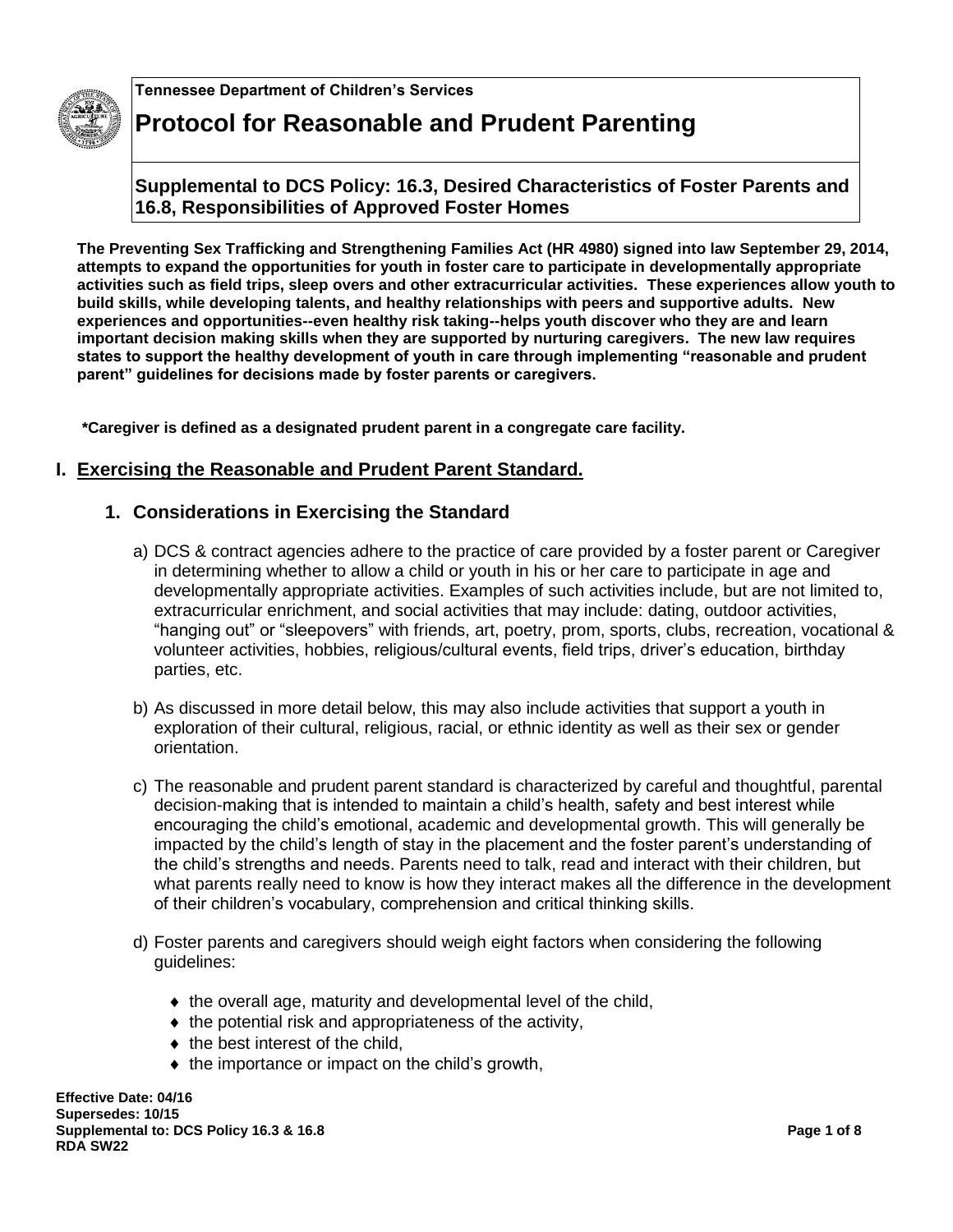

**Tennessee Department of Children's Services**

# **Protocol for Reasonable and Prudent Parenting**

**Supplemental to DCS Policy: 16.3, Desired Characteristics of Foster Parents and 16.8, Responsibilities of Approved Foster Homes** 

**The Preventing Sex Trafficking and Strengthening Families Act (HR 4980) signed into law September 29, 2014, attempts to expand the opportunities for youth in foster care to participate in developmentally appropriate activities such as field trips, sleep overs and other extracurricular activities. These experiences allow youth to build skills, while developing talents, and healthy relationships with peers and supportive adults. New experiences and opportunities--even healthy risk taking--helps youth discover who they are and learn important decision making skills when they are supported by nurturing caregivers. The new law requires states to support the healthy development of youth in care through implementing "reasonable and prudent parent" guidelines for decisions made by foster parents or caregivers.**

**\*Caregiver is defined as a designated prudent parent in a congregate care facility.** 

# **I. Exercising the Reasonable and Prudent Parent Standard.**

# **1. Considerations in Exercising the Standard**

- a) DCS & contract agencies adhere to the practice of care provided by a foster parent or Caregiver in determining whether to allow a child or youth in his or her care to participate in age and developmentally appropriate activities. Examples of such activities include, but are not limited to, extracurricular enrichment, and social activities that may include: dating, outdoor activities, "hanging out" or "sleepovers" with friends, art, poetry, prom, sports, clubs, recreation, vocational & volunteer activities, hobbies, religious/cultural events, field trips, driver's education, birthday parties, etc.
- b) As discussed in more detail below, this may also include activities that support a youth in exploration of their cultural, religious, racial, or ethnic identity as well as their sex or gender orientation.
- c) The reasonable and prudent parent standard is characterized by careful and thoughtful, parental decision-making that is intended to maintain a child's health, safety and best interest while encouraging the child's emotional, academic and developmental growth. This will generally be impacted by the child's length of stay in the placement and the foster parent's understanding of the child's strengths and needs. Parents need to talk, read and interact with their children, but what parents really need to know is how they interact makes all the difference in the development of their children's vocabulary, comprehension and critical thinking skills.
- d) Foster parents and caregivers should weigh eight factors when considering the following guidelines:
	- $\bullet$  the overall age, maturity and developmental level of the child,
	- $\bullet$  the potential risk and appropriateness of the activity,
	- $\bullet$  the best interest of the child,
	- $\bullet$  the importance or impact on the child's growth,

**Effective Date: 04/16 Supersedes: 10/15 Supplemental to: DCS Policy 16.3 & 16.8 Page 1 of 8 RDA SW22**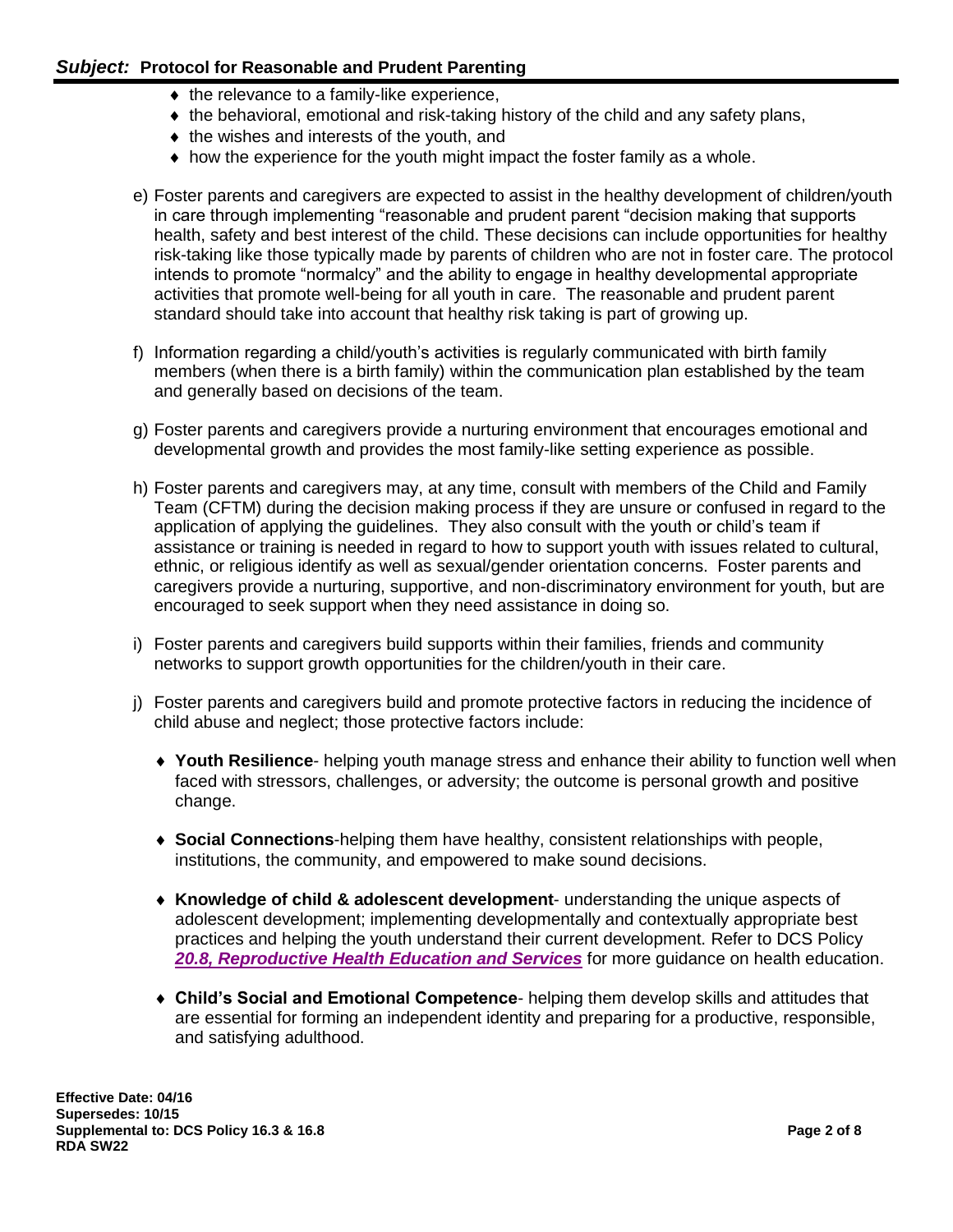- $\bullet$  the relevance to a family-like experience,
- the behavioral, emotional and risk-taking history of the child and any safety plans,
- $\bullet$  the wishes and interests of the youth, and
- $\bullet$  how the experience for the youth might impact the foster family as a whole.
- e) Foster parents and caregivers are expected to assist in the healthy development of children/youth in care through implementing "reasonable and prudent parent "decision making that supports health, safety and best interest of the child. These decisions can include opportunities for healthy risk-taking like those typically made by parents of children who are not in foster care. The protocol intends to promote "normalcy" and the ability to engage in healthy developmental appropriate activities that promote well-being for all youth in care. The reasonable and prudent parent standard should take into account that healthy risk taking is part of growing up.
- f) Information regarding a child/youth's activities is regularly communicated with birth family members (when there is a birth family) within the communication plan established by the team and generally based on decisions of the team.
- g) Foster parents and caregivers provide a nurturing environment that encourages emotional and developmental growth and provides the most family-like setting experience as possible.
- h) Foster parents and caregivers may, at any time, consult with members of the Child and Family Team (CFTM) during the decision making process if they are unsure or confused in regard to the application of applying the guidelines. They also consult with the youth or child's team if assistance or training is needed in regard to how to support youth with issues related to cultural, ethnic, or religious identify as well as sexual/gender orientation concerns. Foster parents and caregivers provide a nurturing, supportive, and non-discriminatory environment for youth, but are encouraged to seek support when they need assistance in doing so.
- i) Foster parents and caregivers build supports within their families, friends and community networks to support growth opportunities for the children/youth in their care.
- j) Foster parents and caregivers build and promote protective factors in reducing the incidence of child abuse and neglect; those protective factors include:
	- **Youth Resilience***-* helping youth manage stress and enhance their ability to function well when faced with stressors, challenges, or adversity; the outcome is personal growth and positive change.
	- **Social Connections**-helping them have healthy, consistent relationships with people, institutions, the community, and empowered to make sound decisions.
	- **Knowledge of child & adolescent development** understanding the unique aspects of adolescent development; implementing developmentally and contextually appropriate best practices and helping the youth understand their current development. Refer to DCS Policy *[20.8, Reproductive Health Education and Services](https://files.dcs.tn.gov/policies/chap20/20.8.pdf)* for more guidance on health education.
	- **Child's Social and Emotional Competence** helping them develop skills and attitudes that are essential for forming an independent identity and preparing for a productive, responsible, and satisfying adulthood.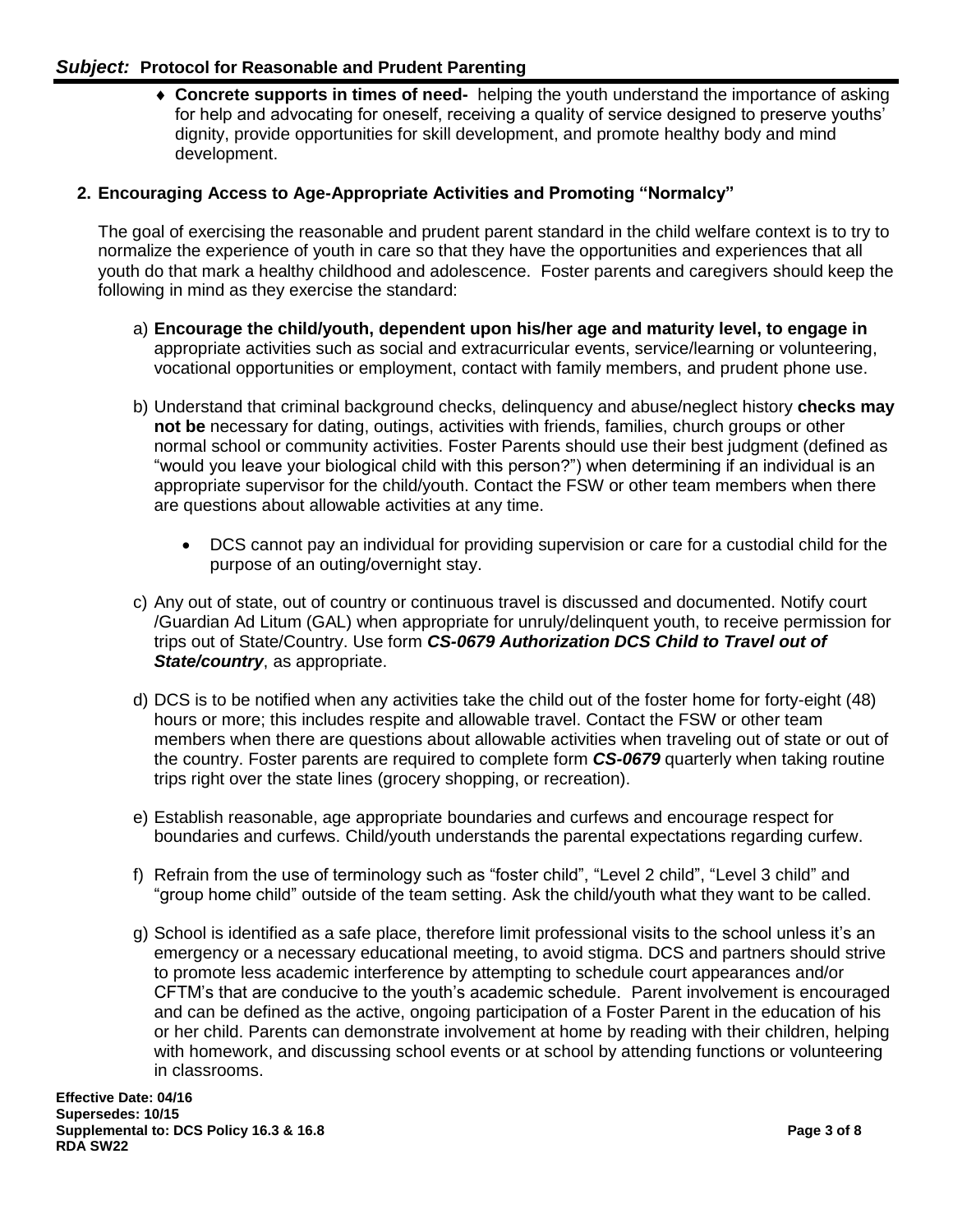**Concrete supports in times of need-** helping the youth understand the importance of asking for help and advocating for oneself, receiving a quality of service designed to preserve youths' dignity, provide opportunities for skill development, and promote healthy body and mind development.

#### **2. Encouraging Access to Age-Appropriate Activities and Promoting "Normalcy"**

The goal of exercising the reasonable and prudent parent standard in the child welfare context is to try to normalize the experience of youth in care so that they have the opportunities and experiences that all youth do that mark a healthy childhood and adolescence. Foster parents and caregivers should keep the following in mind as they exercise the standard:

- a) **Encourage the child/youth, dependent upon his/her age and maturity level, to engage in** appropriate activities such as social and extracurricular events, service/learning or volunteering, vocational opportunities or employment, contact with family members, and prudent phone use.
- b) Understand that criminal background checks, delinquency and abuse/neglect history **checks may not be** necessary for dating, outings, activities with friends, families, church groups or other normal school or community activities. Foster Parents should use their best judgment (defined as "would you leave your biological child with this person?") when determining if an individual is an appropriate supervisor for the child/youth. Contact the FSW or other team members when there are questions about allowable activities at any time.
	- DCS cannot pay an individual for providing supervision or care for a custodial child for the purpose of an outing/overnight stay.
- c) Any out of state, out of country or continuous travel is discussed and documented. Notify court /Guardian Ad Litum (GAL) when appropriate for unruly/delinquent youth, to receive permission for trips out of State/Country. Use form *CS-0679 Authorization DCS Child to Travel out of State/country*, as appropriate.
- d) DCS is to be notified when any activities take the child out of the foster home for forty-eight (48) hours or more; this includes respite and allowable travel. Contact the FSW or other team members when there are questions about allowable activities when traveling out of state or out of the country. Foster parents are required to complete form *CS-0679* quarterly when taking routine trips right over the state lines (grocery shopping, or recreation).
- e) Establish reasonable, age appropriate boundaries and curfews and encourage respect for boundaries and curfews. Child/youth understands the parental expectations regarding curfew.
- f) Refrain from the use of terminology such as "foster child", "Level 2 child", "Level 3 child" and "group home child" outside of the team setting. Ask the child/youth what they want to be called.
- g) School is identified as a safe place, therefore limit professional visits to the school unless it's an emergency or a necessary educational meeting, to avoid stigma. DCS and partners should strive to promote less academic interference by attempting to schedule court appearances and/or CFTM's that are conducive to the youth's academic schedule. Parent involvement is encouraged and can be defined as the active, ongoing participation of a Foster Parent in the education of his or her child. Parents can demonstrate involvement at home by reading with their children, helping with homework, and discussing school events or at school by attending functions or volunteering in classrooms.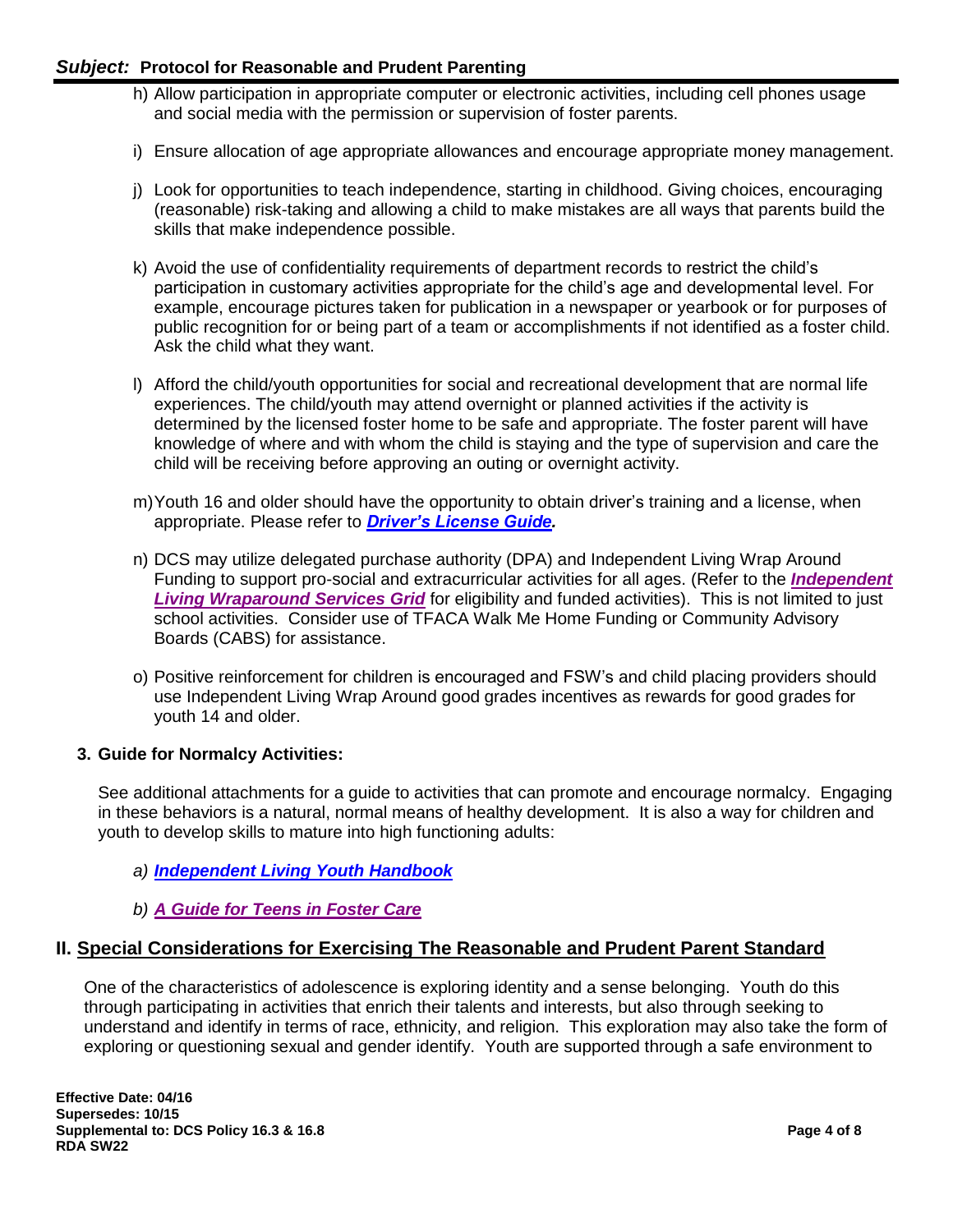- h) Allow participation in appropriate computer or electronic activities, including cell phones usage and social media with the permission or supervision of foster parents.
- i) Ensure allocation of age appropriate allowances and encourage appropriate money management.
- j) Look for opportunities to teach independence, starting in childhood. Giving choices, encouraging (reasonable) risk-taking and allowing a child to make mistakes are all ways that parents build the skills that make independence possible.
- k) Avoid the use of confidentiality requirements of department records to restrict the child's participation in customary activities appropriate for the child's age and developmental level. For example, encourage pictures taken for publication in a newspaper or yearbook or for purposes of public recognition for or being part of a team or accomplishments if not identified as a foster child. Ask the child what they want.
- l) Afford the child/youth opportunities for social and recreational development that are normal life experiences. The child/youth may attend overnight or planned activities if the activity is determined by the licensed foster home to be safe and appropriate. The foster parent will have knowledge of where and with whom the child is staying and the type of supervision and care the child will be receiving before approving an outing or overnight activity.
- m)Youth 16 and older should have the opportunity to obtain driver's training and a license, when appropriate. Please refer to *[Driver's License Guide.](https://www.tn.gov/content/dam/tn/safety/documents/DL_Manual.pdf)*
- n) DCS may utilize delegated purchase authority (DPA) and Independent Living Wrap Around Funding to support pro-social and extracurricular activities for all ages. (Refer to the *[Independent](https://www.tn.gov/content/dam/tn/dcs/documents/youthintransition/staff-info/ILWrapGrid.xlsx)  [Living Wraparound Services Grid](https://www.tn.gov/content/dam/tn/dcs/documents/youthintransition/staff-info/ILWrapGrid.xlsx)* for eligibility and funded activities). This is not limited to just school activities. Consider use of TFACA Walk Me Home Funding or Community Advisory Boards (CABS) for assistance.
- o) Positive reinforcement for children is encouraged and FSW's and child placing providers should use Independent Living Wrap Around good grades incentives as rewards for good grades for youth 14 and older.

## **3. Guide for Normalcy Activities:**

See additional attachments for a guide to activities that can promote and encourage normalcy. Engaging in these behaviors is a natural, normal means of healthy development. It is also a way for children and youth to develop skills to mature into high functioning adults:

## *a) [Independent Living Youth Handbook](https://www.tn.gov/dcs/program-areas/youth-in-transition/yit/il/youth-handbook.html)*

*b) [A Guide for Teens](https://www.tn.gov/content/dam/tn/dcs/documents/youthintransition/il/Guide_Teens_FC.pdf) in Foster Care*

## **II. Special Considerations for Exercising The Reasonable and Prudent Parent Standard**

One of the characteristics of adolescence is exploring identity and a sense belonging. Youth do this through participating in activities that enrich their talents and interests, but also through seeking to understand and identify in terms of race, ethnicity, and religion. This exploration may also take the form of exploring or questioning sexual and gender identify. Youth are supported through a safe environment to

**Effective Date: 04/16 Supersedes: 10/15 Supplemental to: DCS Policy 16.3 & 16.8 Page 4 of 8 RDA SW22**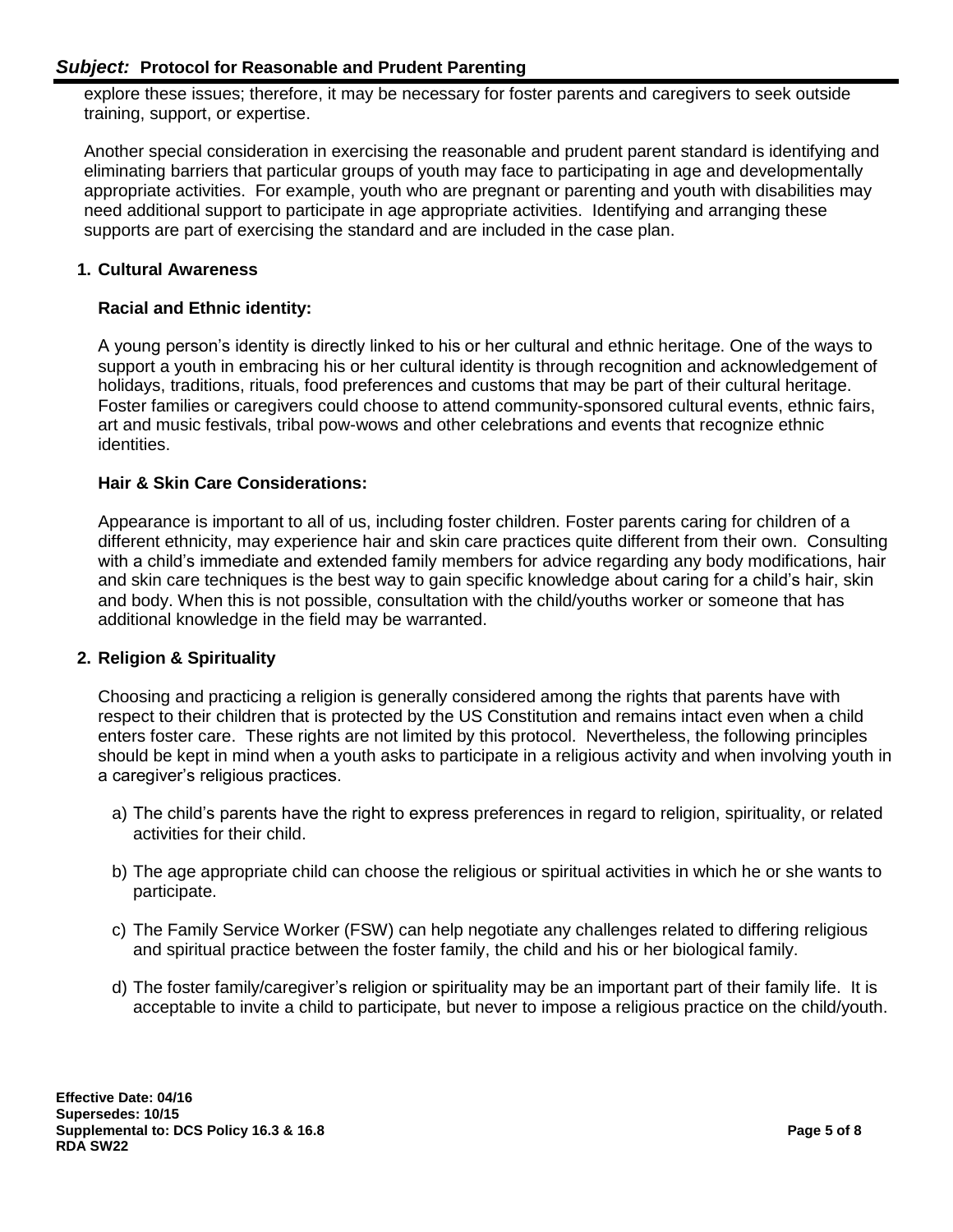explore these issues; therefore, it may be necessary for foster parents and caregivers to seek outside training, support, or expertise.

Another special consideration in exercising the reasonable and prudent parent standard is identifying and eliminating barriers that particular groups of youth may face to participating in age and developmentally appropriate activities. For example, youth who are pregnant or parenting and youth with disabilities may need additional support to participate in age appropriate activities. Identifying and arranging these supports are part of exercising the standard and are included in the case plan.

#### **1. Cultural Awareness**

#### **Racial and Ethnic identity:**

A young person's identity is directly linked to his or her cultural and ethnic heritage. One of the ways to support a youth in embracing his or her cultural identity is through recognition and acknowledgement of holidays, traditions, rituals, food preferences and customs that may be part of their cultural heritage. Foster families or caregivers could choose to attend community-sponsored cultural events, ethnic fairs, art and music festivals, tribal pow-wows and other celebrations and events that recognize ethnic identities.

#### **Hair & Skin Care Considerations:**

Appearance is important to all of us, including foster children. Foster parents caring for children of a different ethnicity, may experience hair and skin care practices quite different from their own. Consulting with a child's immediate and extended family members for advice regarding any body modifications, hair and skin care techniques is the best way to gain specific knowledge about caring for a child's hair, skin and body. When this is not possible, consultation with the child/youths worker or someone that has additional knowledge in the field may be warranted.

#### **2. Religion & Spirituality**

Choosing and practicing a religion is generally considered among the rights that parents have with respect to their children that is protected by the US Constitution and remains intact even when a child enters foster care. These rights are not limited by this protocol. Nevertheless, the following principles should be kept in mind when a youth asks to participate in a religious activity and when involving youth in a caregiver's religious practices.

- a) The child's parents have the right to express preferences in regard to religion, spirituality, or related activities for their child.
- b) The age appropriate child can choose the religious or spiritual activities in which he or she wants to participate.
- c) The Family Service Worker (FSW) can help negotiate any challenges related to differing religious and spiritual practice between the foster family, the child and his or her biological family.
- d) The foster family/caregiver's religion or spirituality may be an important part of their family life. It is acceptable to invite a child to participate, but never to impose a religious practice on the child/youth.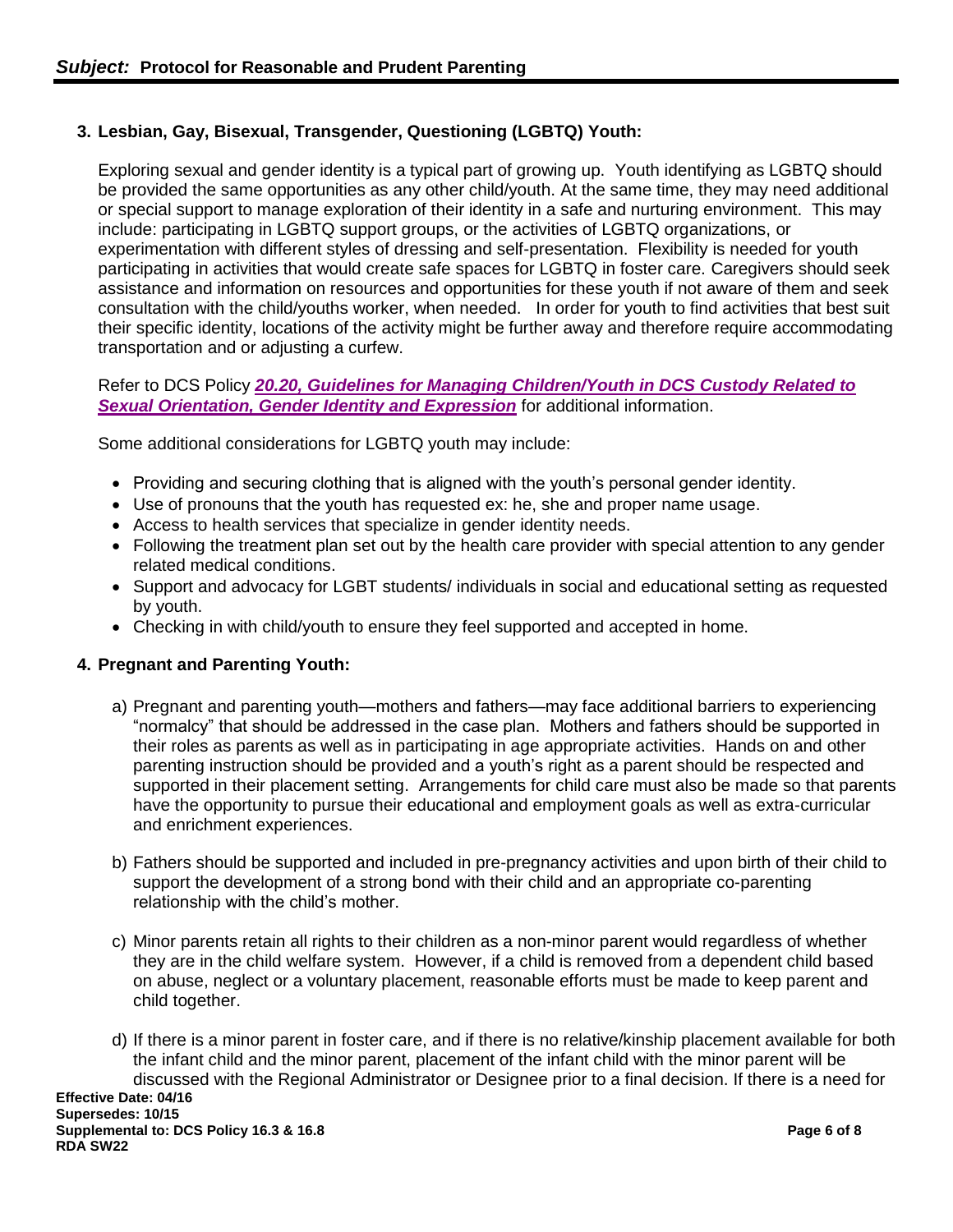## **3. Lesbian, Gay, Bisexual, Transgender, Questioning (LGBTQ) Youth:**

Exploring sexual and gender identity is a typical part of growing up. Youth identifying as LGBTQ should be provided the same opportunities as any other child/youth. At the same time, they may need additional or special support to manage exploration of their identity in a safe and nurturing environment. This may include: participating in LGBTQ support groups, or the activities of LGBTQ organizations, or experimentation with different styles of dressing and self-presentation. Flexibility is needed for youth participating in activities that would create safe spaces for LGBTQ in foster care. Caregivers should seek assistance and information on resources and opportunities for these youth if not aware of them and seek consultation with the child/youths worker, when needed. In order for youth to find activities that best suit their specific identity, locations of the activity might be further away and therefore require accommodating transportation and or adjusting a curfew.

#### Refer to DCS Policy *[20.20, Guidelines for Managing Children/Youth in DCS Custody Related to](https://files.dcs.tn.gov/policies/chap20/20.20.pdf)  [Sexual Orientation, Gender Identity and Expression](https://files.dcs.tn.gov/policies/chap20/20.20.pdf)* for additional information.

Some additional considerations for LGBTQ youth may include:

- Providing and securing clothing that is aligned with the youth's personal gender identity.
- Use of pronouns that the youth has requested ex: he, she and proper name usage.
- Access to health services that specialize in gender identity needs.
- Following the treatment plan set out by the health care provider with special attention to any gender related medical conditions.
- Support and advocacy for LGBT students/ individuals in social and educational setting as requested by youth.
- Checking in with child/youth to ensure they feel supported and accepted in home.

#### **4. Pregnant and Parenting Youth:**

- a) Pregnant and parenting youth—mothers and fathers—may face additional barriers to experiencing "normalcy" that should be addressed in the case plan. Mothers and fathers should be supported in their roles as parents as well as in participating in age appropriate activities. Hands on and other parenting instruction should be provided and a youth's right as a parent should be respected and supported in their placement setting. Arrangements for child care must also be made so that parents have the opportunity to pursue their educational and employment goals as well as extra-curricular and enrichment experiences.
- b) Fathers should be supported and included in pre-pregnancy activities and upon birth of their child to support the development of a strong bond with their child and an appropriate co-parenting relationship with the child's mother.
- c) Minor parents retain all rights to their children as a non-minor parent would regardless of whether they are in the child welfare system. However, if a child is removed from a dependent child based on abuse, neglect or a voluntary placement, reasonable efforts must be made to keep parent and child together.
- d) If there is a minor parent in foster care, and if there is no relative/kinship placement available for both the infant child and the minor parent, placement of the infant child with the minor parent will be discussed with the Regional Administrator or Designee prior to a final decision. If there is a need for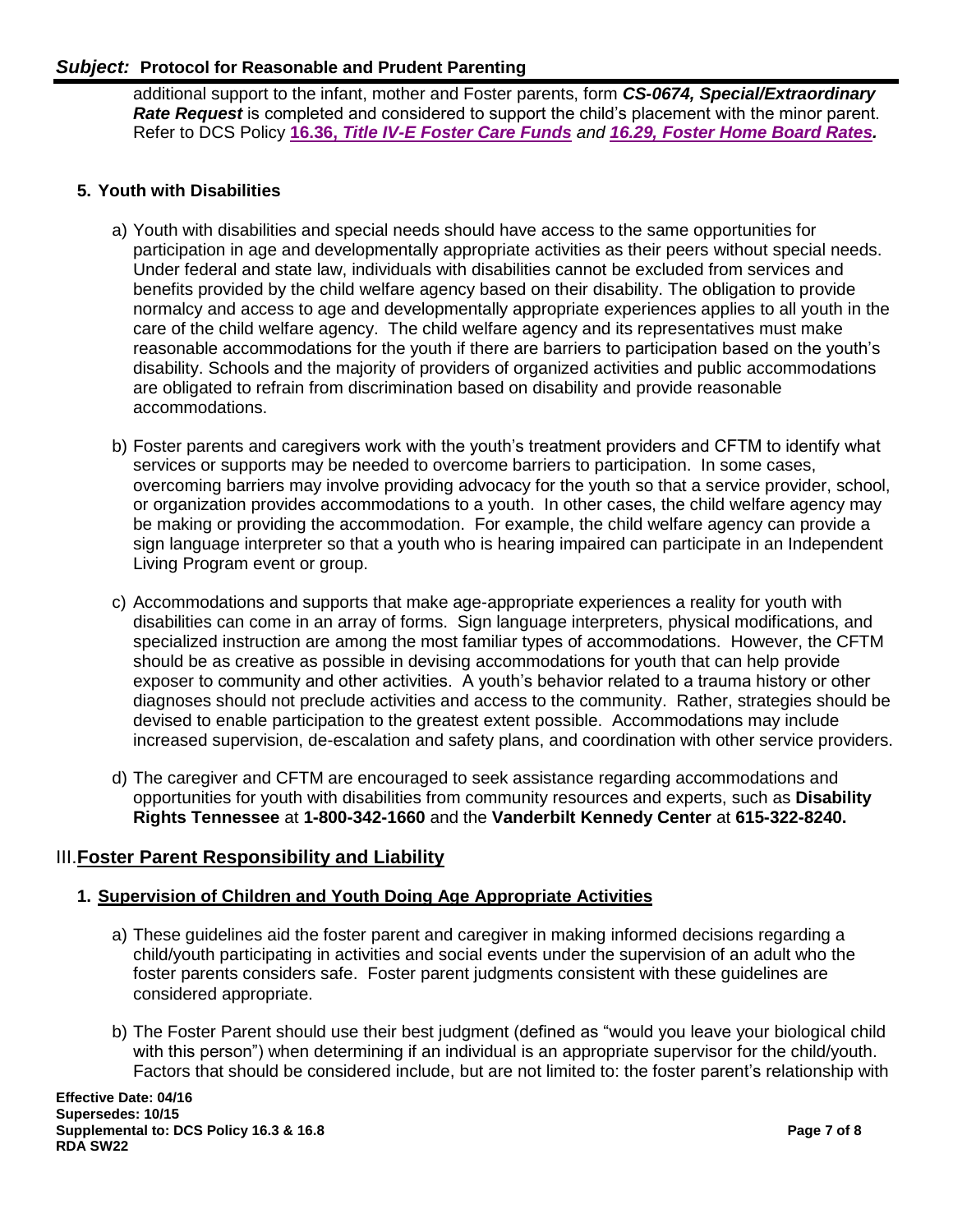additional support to the infant, mother and Foster parents, form *[CS-0674, Special/Extraordinary](https://files.dcs.tn.gov/forms/0674.doc)  [Rate Request](https://files.dcs.tn.gov/forms/0674.doc)* is completed and considered to support the child's placement with the minor parent. Refer to DCS Policy **16.36,** *[Title IV-E Foster Care Funds](https://files.dcs.tn.gov/policies/chap16/16.36.pdf) and 16.29, Foster [Home Board Rates.](https://files.dcs.tn.gov/policies/chap16/16.29.pdf)* 

# **5. Youth with Disabilities**

- a) Youth with disabilities and special needs should have access to the same opportunities for participation in age and developmentally appropriate activities as their peers without special needs. Under federal and state law, individuals with disabilities cannot be excluded from services and benefits provided by the child welfare agency based on their disability. The obligation to provide normalcy and access to age and developmentally appropriate experiences applies to all youth in the care of the child welfare agency. The child welfare agency and its representatives must make reasonable accommodations for the youth if there are barriers to participation based on the youth's disability. Schools and the majority of providers of organized activities and public accommodations are obligated to refrain from discrimination based on disability and provide reasonable accommodations.
- b) Foster parents and caregivers work with the youth's treatment providers and CFTM to identify what services or supports may be needed to overcome barriers to participation. In some cases, overcoming barriers may involve providing advocacy for the youth so that a service provider, school, or organization provides accommodations to a youth. In other cases, the child welfare agency may be making or providing the accommodation. For example, the child welfare agency can provide a sign language interpreter so that a youth who is hearing impaired can participate in an Independent Living Program event or group.
- c) Accommodations and supports that make age-appropriate experiences a reality for youth with disabilities can come in an array of forms. Sign language interpreters, physical modifications, and specialized instruction are among the most familiar types of accommodations. However, the CFTM should be as creative as possible in devising accommodations for youth that can help provide exposer to community and other activities. A youth's behavior related to a trauma history or other diagnoses should not preclude activities and access to the community. Rather, strategies should be devised to enable participation to the greatest extent possible. Accommodations may include increased supervision, de-escalation and safety plans, and coordination with other service providers.
- d) The caregiver and CFTM are encouraged to seek assistance regarding accommodations and opportunities for youth with disabilities from community resources and experts, such as **Disability Rights Tennessee** at **1-800-342-1660** and the **Vanderbilt Kennedy Center** at **615-322-8240.**

## III.**Foster Parent Responsibility and Liability**

## **1. Supervision of Children and Youth Doing Age Appropriate Activities**

- a) These guidelines aid the foster parent and caregiver in making informed decisions regarding a child/youth participating in activities and social events under the supervision of an adult who the foster parents considers safe. Foster parent judgments consistent with these guidelines are considered appropriate.
- b) The Foster Parent should use their best judgment (defined as "would you leave your biological child with this person") when determining if an individual is an appropriate supervisor for the child/youth. Factors that should be considered include, but are not limited to: the foster parent's relationship with